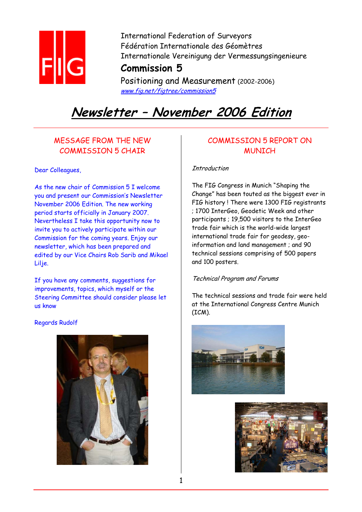

International Federation of Surveyors Fédération Internationale des Géomètres Internationale Vereinigung der Vermessungsingenieure **Commission 5**

Positioning and Measurement (2002-2006) www.fig.net/figtree/commission5

# **Newsletter – November 2006 Edition**

# MESSAGE FROM THE NEW COMMISSION 5 CHAIR

Dear Colleagues,

As the new chair of Commission 5 I welcome you and present our Commission's Newsletter November 2006 Edition. The new working period starts officially in January 2007. Nevertheless I take this opportunity now to invite you to actively participate within our Commission for the coming years. Enjoy our newsletter, which has been prepared and edited by our Vice Chairs Rob Sarib and Mikael Lilie.

If you have any comments, suggestions for improvements, topics, which myself or the Steering Committee should consider please let us know

Regards Rudolf



# COMMISSION 5 REPORT ON **MUNTCH**

## Introduction

The FIG Congress in Munich "Shaping the Change" has been touted as the biggest ever in FIG history ! There were 1300 FIG registrants ; 1700 InterGeo, Geodetic Week and other participants ; 19,500 visitors to the InterGeo trade fair which is the world-wide largest international trade fair for geodesy, geoinformation and land management ; and 90 technical sessions comprising of 500 papers and 100 posters.

## Technical Program and Forums

The technical sessions and trade fair were held at the International Congress Centre Munich (ICM).



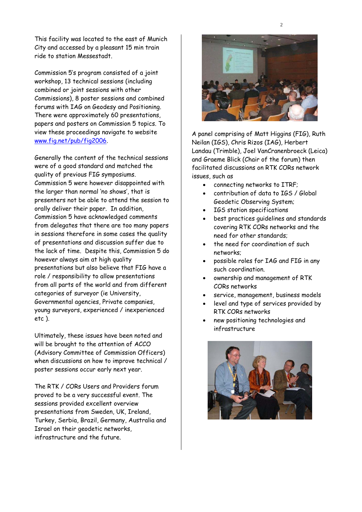This facility was located to the east of Munich City and accessed by a pleasant 15 min train ride to station Messestadt.

Commission 5's program consisted of a joint workshop, 13 technical sessions (including combined or joint sessions with other Commissions), 8 poster sessions and combined forums with IAG on Geodesy and Positioning. There were approximately 60 presentations, papers and posters on Commission 5 topics. To view these proceedings navigate to website www.fig.net/pub/fig2006.

Generally the content of the technical sessions were of a good standard and matched the quality of previous FIG symposiums. Commission 5 were however disappointed with the larger than normal 'no shows', that is presenters not be able to attend the session to orally deliver their paper. In addition, Commission 5 have acknowledged comments from delegates that there are too many papers in sessions therefore in some cases the quality of presentations and discussion suffer due to the lack of time. Despite this, Commission 5 do however always aim at high quality presentations but also believe that FIG have a role / responsibility to allow presentations from all parts of the world and from different categories of surveyor (ie University, Governmental agencies, Private companies, young surveyors, experienced / inexperienced etc ).

Ultimately, these issues have been noted and will be brought to the attention of ACCO (Advisory Committee of Commission Officers) when discussions on how to improve technical / poster sessions occur early next year.

The RTK / CORs Users and Providers forum proved to be a very successful event. The sessions provided excellent overview presentations from Sweden, UK, Ireland, Turkey, Serbia, Brazil, Germany, Australia and Israel on their geodetic networks, infrastructure and the future.



A panel comprising of Matt Higgins (FIG), Ruth Neilan (IGS), Chris Rizos (IAG), Herbert Landau (Trimble), Joel VanCranenbroeck (Leica) and Graeme Blick (Chair of the forum) then facilitated discussions on RTK CORs network issues, such as

- connecting networks to ITRF;
- contribution of data to IGS / Global Geodetic Observing System;
- IGS station specifications
- best practices guidelines and standards covering RTK CORs networks and the need for other standards;
- the need for coordination of such networks;
- possible roles for IAG and FIG in any such coordination.
- ownership and management of RTK CORs networks
- service, management, business models
- level and type of services provided by RTK CORs networks
- new positioning technologies and infrastructure

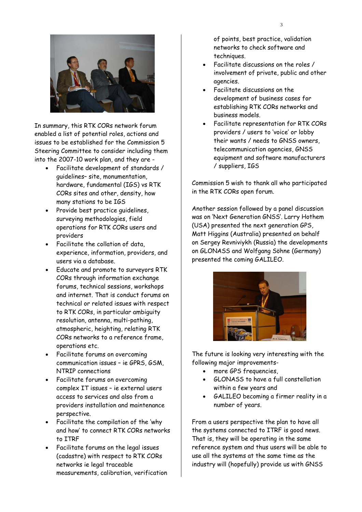

In summary, this RTK CORs network forum enabled a list of potential roles, actions and issues to be established for the Commission 5 Steering Committee to consider including them into the 2007-10 work plan, and they are -

- Facilitate development of standards / guidelines– site, monumentation, hardware, fundamental (IGS) vs RTK CORs sites and other, density, how many stations to be IGS
- Provide best practice quidelines. surveying methodologies, field operations for RTK CORs users and providers
- Facilitate the collation of data, experience, information, providers, and users via a database.
- Educate and promote to surveyors RTK CORs through information exchange forums, technical sessions, workshops and internet. That is conduct forums on technical or related issues with respect to RTK CORs, in particular ambiguity resolution, antenna, multi-pathing, atmospheric, heighting, relating RTK CORs networks to a reference frame, operations etc.
- Facilitate forums on overcoming communication issues – ie GPRS, GSM, NTRIP connections
- Facilitate forums on overcoming complex IT issues – ie external users access to services and also from a providers installation and maintenance perspective.
- Facilitate the compilation of the 'why and how' to connect RTK CORs networks to ITRF
- Facilitate forums on the legal issues (cadastre) with respect to RTK CORs networks ie legal traceable measurements, calibration, verification

of points, best practice, validation networks to check software and techniques.

- Facilitate discussions on the roles / involvement of private, public and other agencies.
- Facilitate discussions on the development of business cases for establishing RTK CORs networks and business models.
- Facilitate representation for RTK CORs providers / users to 'voice' or lobby their wants / needs to GNSS owners, telecommunication agencies, GNSS equipment and software manufacturers / suppliers, IGS

Commission 5 wish to thank all who participated in the RTK CORs open forum.

Another session followed by a panel discussion was on 'Next Generation GNSS'. Larry Hothem (USA) presented the next generation GPS, Matt Higgins (Australia) presented on behalf on Sergey Revniviykh (Russia) the developments on GLONASS and Wolfgang Söhne (Germany) presented the coming GALILEO.



The future is looking very interesting with the following major improvements-

- more GPS frequencies.
- GLONASS to have a full constellation within a few years and
- GALILEO becoming a firmer reality in a number of years.

From a users perspective the plan to have all the systems connected to ITRF is good news. That is, they will be operating in the same reference system and thus users will be able to use all the systems at the same time as the industry will (hopefully) provide us with GNSS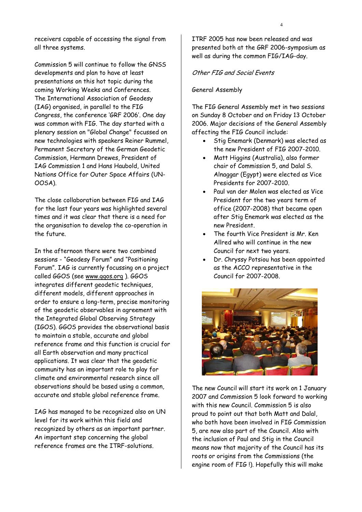receivers capable of accessing the signal from all three systems.

Commission 5 will continue to follow the GNSS developments and plan to have at least presentations on this hot topic during the coming Working Weeks and Conferences. The International Association of Geodesy (IAG) organised, in parallel to the FIG Congress, the conference 'GRF 2006'. One day was common with FIG. The day started with a plenary session on "Global Change" focussed on new technologies with speakers Reiner Rummel, Permanent Secretary of the German Geodetic Commission, Hermann Drewes, President of IAG Commission 1 and Hans Haubold, United Nations Office for Outer Space Affairs (UN-OOSA).

The close collaboration between FIG and IAG for the last four years was highlighted several times and it was clear that there is a need for the organisation to develop the co-operation in the future.

In the afternoon there were two combined sessions - "Geodesy Forum" and "Positioning Forum". IAG is currently focussing on a project called GGOS (see www.ggos.org ). GGOS integrates different geodetic techniques, different models, different approaches in order to ensure a long-term, precise monitoring of the geodetic observables in agreement with the Integrated Global Observing Strategy (IGOS). GGOS provides the observational basis to maintain a stable, accurate and global reference frame and this function is crucial for all Earth observation and many practical applications. It was clear that the geodetic community has an important role to play for climate and environmental research since all observations should be based using a common, accurate and stable global reference frame.

IAG has managed to be recognized also on UN level for its work within this field and recognized by others as an important partner. An important step concerning the global reference frames are the ITRF-solutions.

ITRF 2005 has now been released and was presented both at the GRF 2006-symposium as well as during the common FIG/IAG-day.

## Other FIG and Social Events

#### General Assembly

The FIG General Assembly met in two sessions on Sunday 8 October and on Friday 13 October 2006. Major decisions of the General Assembly affecting the FIG Council include:

- Stig Enemark (Denmark) was elected as the new President of FIG 2007-2010.
- Matt Higgins (Australia), also former chair of Commission 5, and Dalal S. Alnaggar (Egypt) were elected as Vice Presidents for 2007-2010.
- Paul van der Molen was elected as Vice President for the two years term of office (2007-2008) that became open after Stig Enemark was elected as the new President.
- The fourth Vice President is Mr. Ken Allred who will continue in the new Council for next two years.
- Dr. Chryssy Potsiou has been appointed as the ACCO representative in the Council for 2007-2008.



The new Council will start its work on 1 January 2007 and Commission 5 look forward to working with this new Council. Commission 5 is also proud to point out that both Matt and Dalal, who both have been involved in FIG Commission 5, are now also part of the Council. Also with the inclusion of Paul and Stig in the Council means now that majority of the Council has its roots or origins from the Commissions (the engine room of FIG !). Hopefully this will make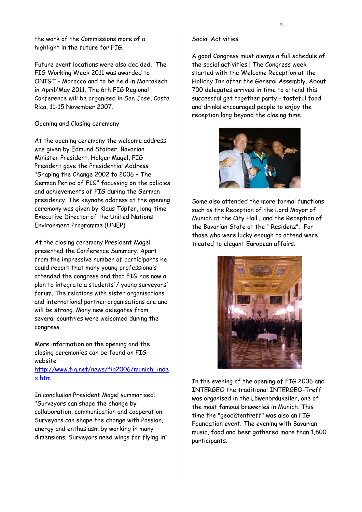the work of the Commissions more of a highlight in the future for FIG.

Future event locations were also decided. The FIG Working Week 2011 was awarded to ONIGT - Morocco and to be held in Marrakech in April/May 2011. The 6th FIG Regional Conference will be organised in San Jose, Costa Rica, 11-15 November 2007.

## Opening and Closing ceremony

At the opening ceremony the welcome address was given by Edmund Stoiber, Bavarian Minister President. Holger Magel, FIG President gave the Presidential Address "Shaping the Change 2002 to 2006 – The German Period of FIG" focussing on the policies and achievements of FIG during the German presidency. The keynote address at the opening ceremony was given by Klaus Töpfer, long-time Executive Director of the United Nations Environment Programme (UNEP).

At the closing ceremony President Magel presented the Conference Summary. Apart from the impressive number of participants he could report that many young professionals attended the congress and that FIG has now a plan to integrate a students'/ young surveyors' forum. The relations with sister organisations and international partner organisations are and will be strong. Many new delegates from several countries were welcomed during the congress.

More information on the opening and the closing ceremonies can be found on FIGwebsite

## http://www.fig.net/news/fig2006/munich\_inde x.htm

In conclusion President Magel summarised: "Surveyors can shape the change by collaboration, communication and cooperation. Surveyors can shape the change with Passion, energy and enthusiasm by working in many dimensions. Surveyors need wings for flying in"

#### Social Activities

A good Congress must always a full schedule of the social activities ! The Congress week started with the Welcome Reception at the Holiday Inn after the General Assembly. About 700 delegates arrived in time to attend this successful get together party - tasteful food and drinks encouraged people to enjoy the reception long beyond the closing time.



Some also attended the more formal functions such as the Reception of the Lord Mayor of Munich at the City Hall ; and the Reception of the Bavarian State at the " Residenz". For those who were lucky enough to attend were treated to elegant European affairs.



In the evening of the opening of FIG 2006 and INTERGEO the traditional INTERGEO-Treff was organised in the Löwenbräukeller, one of the most famous breweries in Munich. This time the "geodätentreff" was also an FIG Foundation event. The evening with Bavarian music, food and beer gathered more than 1,800 participants.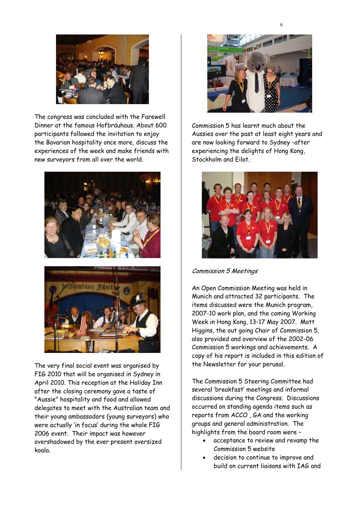

The congress was concluded with the Farewell Dinner at the famous Hofbräuhaus. About 600 participants followed the invitation to enjoy the Bavarian hospitality once more, discuss the experiences of the week and make friends with new surveyors from all over the world.





The very final social event was organised by FIG 2010 that will be organised in Sydney in April 2010. This reception at the Holiday Inn after the closing ceremony gave a taste of "Aussie" hospitality and food and allowed delegates to meet with the Australian team and their young ambassadors (young surveyors) who were actually 'in focus' during the whole FIG 2006 event. Their impact was however overshadowed by the ever present oversized koala.



Commission 5 has learnt much about the Aussies over the past at least eight years and are now looking forward to Sydney -after experiencing the delights of Hong Kong, Stockholm and Eilat.



Commission 5 Meetings

An Open Commission Meeting was held in Munich and attracted 32 participants. The items discussed were the Munich program, 2007-10 work plan, and the coming Working Week in Hong Kong, 13-17 May 2007. Matt Higgins, the out going Chair of Commission 5, also provided and overview of the 2002-06 Commission 5 workings and achievements. A copy of his report is included in this edition of the Newsletter for your perusal.

The Commission 5 Steering Committee had several 'breakfast' meetings and informal discussions during the Congress. Discussions occurred on standing agenda items such as reports from ACCO , GA and the working groups and general administration. The highlights from the board room were –

- acceptance to review and revamp the Commission 5 website
- decision to continue to improve and build on current liaisons with IAG and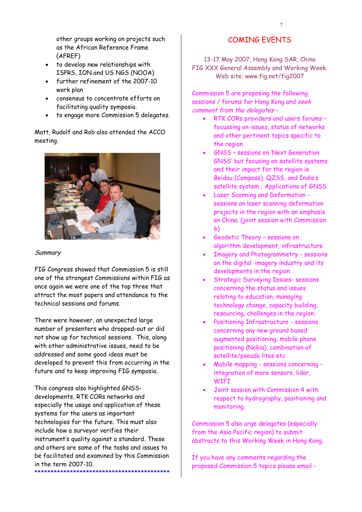other groups working on projects such as the African Reference Frame (AFREF)

- to develop new relationships with ISPRS, ION and US NGS (NOOA)
- further refinement of the 2007-10 work plan
- consensus to concentrate efforts on facilitating quality symposia.
- to engage more Commission 5 delegates.

## Matt, Rudolf and Rob also attended the ACCO meeting.



#### **Summary**

FIG Congress showed that Commission 5 is still one of the strongest Commissions within FIG as once again we were one of the top three that attract the most papers and attendance to the technical sessions and forums.

There were however, an unexpected large number of presenters who dropped-out or did not show up for technical sessions. This, along with other administrative issues, need to be addressed and some good ideas must be developed to prevent this from occurring in the future and to keep improving FIG symposia.

This congress also highlighted GNSSdevelopments, RTK CORs networks and especially the usage and application of these systems for the users as important technologies for the future. This must also include how a surveyor verifies their instrument's quality against a standard. These and others are some of the tasks and issues to be facilitated and examined by this Commission in the term 2007-10. \*\*\*\*\*\*\*\*\*\*\*\*\*\*\*\*\*\*\*\*\*\*\*\*\*\*\*\*\*\*\*\*\*\*\*\*\*\*\*\*\*\*

## COMING EVENTS

13-17 May 2007, Hong Kong SAR, China FIG XXX General Assembly and Working Week. Web site: www.fig.net/fig2007

Commission 5 are proposing the following sessions / forums for Hong Kong and seek comment from the delegates-

- RTK CORs providers and users forums focussing on issues, status of networks and other pertinent topics specific to the region
- GNSS sessions on 'Next Generation GNSS' but focusing on satellite systems and their impact for the region ie Beidou (Compass), QZSS, and India's satellite system ; Applications of GNSS
- Laser Scanning and Deformation sessions on laser scanning deformation projects in the region with an emphasis on China. (joint session with Commission 6)
- Geodetic Theory sessions on algorithm development, infrastructure
- Imagery and Photogrammetry sessions on the digital imagery industry and its developments in the region
- Strategic Surveying Issues- sessions concerning the status and issues relating to education, managing technology change, capacity building, resourcing, challenges in the region.
- Positioning Infrastructure sessions concerning any new ground based augmented positioning, mobile phone positioning (Nokia), combination of satellite/pseudo lites etc
- Mobile mapping sessions concerning integration of more sensors, lidar, **WTFT**
- Joint session with Commission 4 with respect to hydrography, positioning and monitoring.

Commission 5 also urge delegates (especially from the Asia Pacific region) to submit abstracts to this Working Week in Hong Kong.

If you have any comments regarding the proposed Commission 5 topics please email -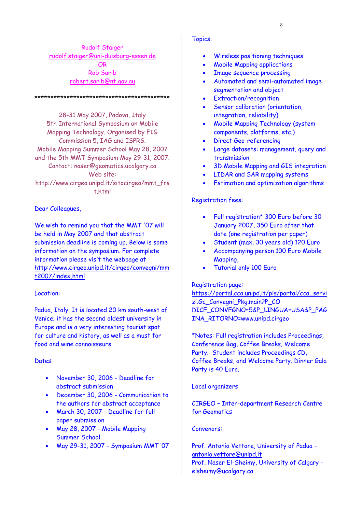Rudolf Staiger rudolf.staiger@uni-duisburg-essen.de OR Rob Sarib robert.sarib@nt,gov.au

\*\*\*\*\*\*\*\*\*\*\*\*\*\*\*\*\*\*\*\*\*\*\*\*\*\*\*\*\*\*\*\*\*\*\*\*\*\*\*\*\*\*

28-31 May 2007, Padova, Italy 5th International Symposium on Mobile Mapping Technology. Organised by FIG Commission 5, IAG and ISPRS. Mobile Mapping Summer School May 28, 2007 and the 5th MMT Symposium May 29-31, 2007. Contact: naser@geomatics.ucalgary.ca Web site: http://www.cirgeo.unipd.it/sitocirgeo/mmt\_frs t.html

Dear Colleagues,

We wish to remind you that the MMT '07 will be held in May 2007 and that abstract submission deadline is coming up. Below is some information on the symposium. For complete information please visit the webpage at http://www.cirgeo.unipd.it/cirgeo/convegni/mm t2007/index.html

#### Location:

Padua, Italy. It is located 20 km south-west of Venice; it has the second oldest university in Europe and is a very interesting tourist spot for culture and history, as well as a must for food and wine connoisseurs.

#### Dates:

- November 30, 2006 Deadline for abstract submission
- December 30, 2006 Communication to the authors for abstract acceptance
- March 30, 2007 Deadline for full paper submission
- May 28, 2007 Mobile Mapping Summer School
- May 29-31, 2007 Symposium MMT '07

#### Topics:

- Wireless positioning techniques
- Mobile Mapping applications
- Image sequence processing
- Automated and semi-automated image segmentation and object
- Extraction/recognition
- Sensor calibration (orientation, integration, reliability)
- Mobile Mapping Technology (system components, platforms, etc.)
- Direct Geo-referencing
- Large datasets: management, query and transmission
- 3D Mobile Mapping and GIS integration
- LIDAR and SAR mapping systems
- Estimation and optimization algorithms

## Registration fees:

- Full registration\* 300 Euro before 30 January 2007, 350 Euro after that date (one registration per paper)
- Student (max. 30 years old) 120 Euro
- Accompanying person 100 Euro Mobile Mapping,
- Tutorial only 100 Euro

#### Registration page:

https://portal.cca.unipd.it/pls/portal/cca\_servi zi.Gc\_Convegni\_Pkg.main?P\_CO DICE\_CONVEGNO=5&P\_LINGUA=USA&P\_PAG INA\_RITORNO=www.unipd.cirgeo

\*Notes: Full registration includes Proceedings, Conference Bag, Coffee Breaks, Welcome Party. Student includes Proceedings CD, Coffee Breaks, and Welcome Party. Dinner Gala Party is 40 Euro.

#### Local organizers

CIRGEO – Inter-department Research Centre for Geomatics

#### Convenors:

Prof. Antonio Vettore, University of Padua antonio.vettore@unipd.it Prof. Naser El-Sheimy, University of Calgary elsheimy@ucalgary.ca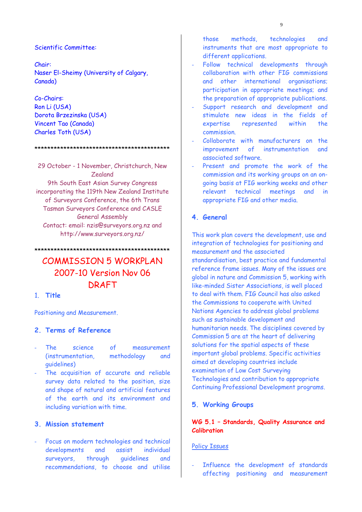## Scientific Committee:

Chair: Naser El-Sheimy (University of Calgary, Canada)

Co-Chairs: Ron Li (USA) Dorota Brzezinska (USA) Vincent Tao (Canada) Charles Toth (USA)

\*\*\*\*\*\*\*\*\*\*\*\*\*\*\*\*\*\*\*\*\*\*\*\*\*\*\*\*\*\*\*\*\*\*\*\*\*\*\*\*\*\*

29 October - 1 November, Christchurch, New Zealand 9th South East Asian Survey Congress incorporating the 119th New Zealand Institute of Surveyors Conference, the 6th Trans Tasman Surveyors Conference and CASLE General Assembly Contact: email: nzis@surveyors.org.nz and http://www.surveyors.org.nz/

COMMISSION 5 WORKPLAN 2007-10 Version Nov 06 **DRAFT** 

\*\*\*\*\*\*\*\*\*\*\*\*\*\*\*\*\*\*\*\*\*\*\*\*\*\*\*\*\*\*\*\*\*\*\*\*\*\*\*\*\*\*

## 1. **Title**

Positioning and Measurement.

## **2. Terms of Reference**

- The science of measurement (instrumentation, methodology and guidelines)
- The acquisition of accurate and reliable survey data related to the position, size and shape of natural and artificial features of the earth and its environment and including variation with time.

## **3. Mission statement**

Focus on modern technologies and technical developments and assist individual surveyors, through guidelines and recommendations, to choose and utilise

those methods, technologies and instruments that are most appropriate to different applications.

- Follow technical developments through collaboration with other FIG commissions and other international organisations; participation in appropriate meetings; and the preparation of appropriate publications.
- Support research and development and stimulate new ideas in the fields of expertise represented within the commission.
- Collaborate with manufacturers on the improvement of instrumentation and associated software.
- Present and promote the work of the commission and its working groups on an ongoing basis at FIG working weeks and other relevant technical meetings and in appropriate FIG and other media.

## **4. General**

This work plan covers the development, use and integration of technologies for positioning and measurement and the associated standardisation, best practice and fundamental reference frame issues. Many of the issues are global in nature and Commission 5, working with like-minded Sister Associations, is well placed to deal with them. FIG Council has also asked the Commissions to cooperate with United Nations Agencies to address global problems such as sustainable development and humanitarian needs. The disciplines covered by Commission 5 are at the heart of delivering solutions for the spatial aspects of these important global problems. Specific activities aimed at developing countries include examination of Low Cost Surveying Technologies and contribution to appropriate Continuing Professional Development programs.

## **5. Working Groups**

## **WG 5.1 – Standards, Quality Assurance and Calibration**

## Policy Issues

Influence the development of standards affecting positioning and measurement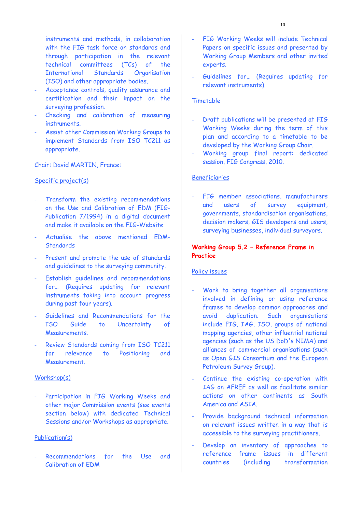instruments and methods, in collaboration with the FIG task force on standards and through participation in the relevant technical committees (TCs) of the International Standards Organisation (ISO) and other appropriate bodies.

- Acceptance controls, quality assurance and certification and their impact on the surveying profession.
- Checking and calibration of measuring instruments.
- Assist other Commission Working Groups to implement Standards from ISO TC211 as appropriate.

Chair: David MARTIN, France:

## Specific project(s)

- Transform the existing recommendations on the Use and Calibration of EDM (FIG-Publication 7/1994) in a digital document and make it available on the FIG-Website
- Actualise the above mentioned EDM-**Standards**
- Present and promote the use of standards and guidelines to the surveying community.
- Establish quidelines and recommendations for… (Requires updating for relevant instruments taking into account progress during past four years).
- Guidelines and Recommendations for the ISO Guide to Uncertainty of Measurements.
- Review Standards coming from ISO TC211 for relevance to Positioning and Measurement.

#### Workshop(s)

Participation in FIG Working Weeks and other major Commission events (see events section below) with dedicated Technical Sessions and/or Workshops as appropriate.

#### Publication(s)

Recommendations for the Use and Calibration of EDM

- FIG Working Weeks will include Technical Papers on specific issues and presented by Working Group Members and other invited experts.
- Guidelines for… (Requires updating for relevant instruments).

#### Timetable

- Draft publications will be presented at FIG Working Weeks during the term of this plan and according to a timetable to be developed by the Working Group Chair.
- Working group final report: dedicated session, FIG Congress, 2010.

#### Beneficiaries

FIG member associations, manufacturers and users of survey equipment, governments, standardisation organisations, decision makers, GIS developers and users, surveying businesses, individual surveyors.

## **Working Group 5.2 – Reference Frame in Practice**

#### Policy issues

- Work to bring together all organisations involved in defining or using reference frames to develop common approaches and avoid duplication. Such organisations include FIG, IAG, ISO, groups of national mapping agencies, other influential national agencies (such as the US DoD's NIMA) and alliances of commercial organisations (such as Open GIS Consortium and the European Petroleum Survey Group).
- Continue the existing co-operation with IAG on AFREF as well as facilitate similar actions on other continents as South America and ASIA.
- Provide background technical information on relevant issues written in a way that is accessible to the surveying practitioners.
- Develop an inventory of approaches to reference frame issues in different countries (including transformation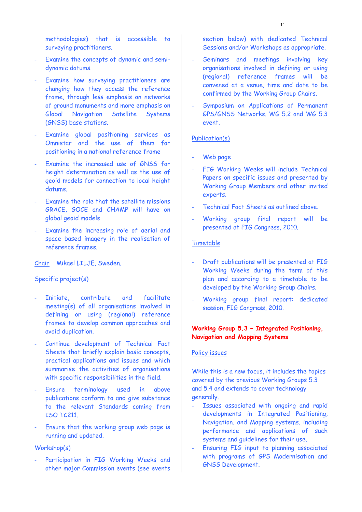methodologies) that is accessible to surveying practitioners.

- Examine the concepts of dynamic and semidynamic datums.
- Examine how surveying practitioners are changing how they access the reference frame, through less emphasis on networks of ground monuments and more emphasis on Global Navigation Satellite Systems (GNSS) base stations.
- Examine global positioning services as Omnistar and the use of them for positioning in a national reference frame
- Examine the increased use of GNSS for height determination as well as the use of geoid models for connection to local height datums.
- Examine the role that the satellite missions GRACE, GOCE and CHAMP will have on global geoid models
- Examine the increasing role of aerial and space based imagery in the realisation of reference frames.

#### Chair Mikael LILJE, Sweden.

#### Specific project(s)

- Initiate, contribute and facilitate meeting(s) of all organisations involved in defining or using (regional) reference frames to develop common approaches and avoid duplication.
- Continue development of Technical Fact Sheets that briefly explain basic concepts, practical applications and issues and which summarise the activities of organisations with specific responsibilities in the field.
- Ensure terminology used in above publications conform to and give substance to the relevant Standards coming from ISO TC211.
- Ensure that the working group web page is running and updated.

#### Workshop(s)

Participation in FIG Working Weeks and other major Commission events (see events section below) with dedicated Technical Sessions and/or Workshops as appropriate.

- Seminars and meetings involving key organisations involved in defining or using (regional) reference frames will be convened at a venue, time and date to be confirmed by the Working Group Chairs.
- Symposium on Applications of Permanent GPS/GNSS Networks. WG 5.2 and WG 5.3 event.

#### Publication(s)

- Web page
- FIG Working Weeks will include Technical Papers on specific issues and presented by Working Group Members and other invited experts.
- Technical Fact Sheets as outlined above.
- Working group final report will be presented at FIG Congress, 2010.

#### Timetable

- Draft publications will be presented at FIG Working Weeks during the term of this plan and according to a timetable to be developed by the Working Group Chairs.
- Working group final report: dedicated session, FIG Congress, 2010.

## **Working Group 5.3 – Integrated Positioning, Navigation and Mapping Systems**

#### Policy issues

While this is a new focus, it includes the topics covered by the previous Working Groups 5.3 and 5.4 and extends to cover technology generally.

- Issues associated with ongoing and rapid developments in Integrated Positioning, Navigation, and Mapping systems, including performance and applications of such systems and guidelines for their use.
- Ensuring FIG input to planning associated with programs of GPS Modernisation and GNSS Development.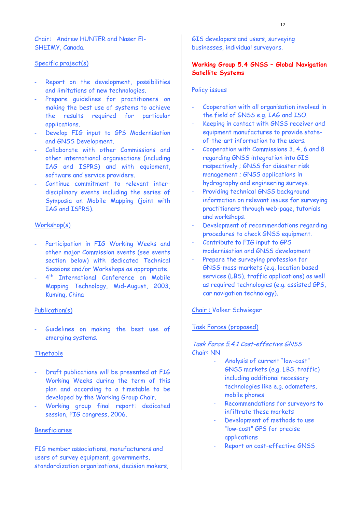Chair: Andrew HUNTER and Naser El-SHEIMY, Canada.

## Specific project(s)

- Report on the development, possibilities and limitations of new technologies.
- Prepare guidelines for practitioners on making the best use of systems to achieve the results required for particular applications.
- Develop FIG input to GPS Modernisation and GNSS Development.
- Collaborate with other Commissions and other international organisations (including IAG and ISPRS) and with equipment, software and service providers.
- Continue commitment to relevant interdisciplinary events including the series of Symposia on Mobile Mapping (joint with IAG and ISPRS).

## Workshop(s)

- Participation in FIG Working Weeks and other major Commission events (see events section below) with dedicated Technical Sessions and/or Workshops as appropriate.
- 4<sup>th</sup> International Conference on Mobile Mapping Technology, Mid-August, 2003, Kuming, China

#### Publication(s)

Guidelines on making the best use of emerging systems.

#### Timetable

- Draft publications will be presented at FIG Working Weeks during the term of this plan and according to a timetable to be developed by the Working Group Chair.
- Working group final report: dedicated session, FIG congress, 2006.

#### Beneficiaries

FIG member associations, manufacturers and users of survey equipment, governments, standardization organizations, decision makers, GIS developers and users, surveying businesses, individual surveyors.

## **Working Group 5.4 GNSS – Global Navigation Satellite Systems**

## Policy issues

- Cooperation with all organisation involved in the field of GNSS e.g. IAG and ISO.
- Keeping in contact with GNSS receiver and equipment manufactures to provide stateof-the-art information to the users.
- Cooperation with Commissions 3, 4, 6 and 8 regarding GNSS integration into GIS respectively ; GNSS for disaster risk management ; GNSS applications in hydrography and engineering surveys.
- Providing technical GNSS background information on relevant issues for surveying practitioners through web-page, tutorials and workshops.
- Development of recommendations regarding procedures to check GNSS equipment.
- Contribute to FIG input to GPS modernisation and GNSS development
- Prepare the surveying profession for GNSS-mass-markets (e.g. location based services (LBS), traffic applications) as well as required technologies (e.g. assisted GPS, car navigation technology).

#### Chair : Volker Schwieger

#### Task Forces (proposed)

## Task Force 5.4.1 Cost-effective GNSS Chair: NN

- Analysis of current "low-cost" GNSS markets (e.g. LBS, traffic) including additional necessary technologies like e.g. odometers, mobile phones
- Recommendations for surveyors to infiltrate these markets
- Development of methods to use "low-cost" GPS for precise applications
- Report on cost-effective GNSS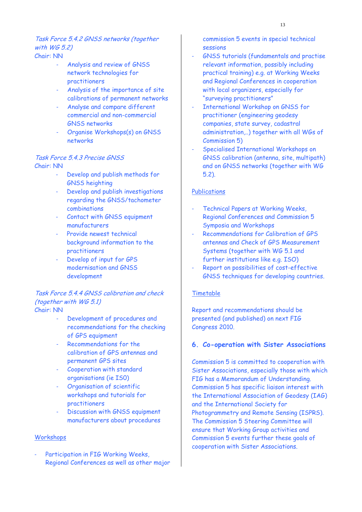Task Force 5.4.2 GNSS networks (together with WG 5.2) Chair: NN

- Analysis and review of GNSS network technologies for practitioners
- Analysis of the importance of site calibrations of permanent networks
- Analyse and compare different commercial and non-commercial GNSS networks
- Organise Workshops(s) on GNSS networks

## Task Force 543 Precise GNSS Chair: NN

- Develop and publish methods for GNSS heighting
- Develop and publish investigations regarding the GNSS/tachometer combinations
- Contact with GNSS equipment manufacturers
- Provide newest technical background information to the practitioners
- Develop of input for GPS modernisation and GNSS development

## Task Force 5.4.4 GNSS calibration and check (together with WG 5.1) Chair: NN

- Development of procedures and recommendations for the checking of GPS equipment
- Recommendations for the calibration of GPS antennas and permanent GPS sites
- Cooperation with standard organisations (ie IS0)
- Organisation of scientific workshops and tutorials for practitioners
- Discussion with GNSS equipment manufacturers about procedures

## Workshops

Participation in FIG Working Weeks, Regional Conferences as well as other major commission 5 events in special technical sessions

- GNSS tutorials (fundamentals and practise relevant information, possibly including practical training) e.g. at Working Weeks and Regional Conferences in cooperation with local organizers, especially for "surveying practitioners"
- International Workshop on GNSS for practitioner (engineering geodesy companies, state survey, cadastral administration,..) together with all WGs of Commission 5)
- Specialised International Workshops on GNSS calibration (antenna, site, multipath) and on GNSS networks (together with WG 5.2).

## **Publications**

- Technical Papers at Working Weeks, Regional Conferences and Commission 5 Symposia and Workshops
- Recommendations for Calibration of GPS antennas and Check of GPS Measurement Systems (together with WG 5.1 and further institutions like e.g. ISO)
- Report on possibilities of cost-effective GNSS techniques for developing countries.

## Timetable

Report and recommendations should be presented (and published) on next FIG Congress 2010.

#### **6. Co-operation with Sister Associations**

Commission 5 is committed to cooperation with Sister Associations, especially those with which FIG has a Memorandum of Understanding. Commission 5 has specific liaison interest with the International Association of Geodesy (IAG) and the International Society for Photogrammetry and Remote Sensing (ISPRS). The Commission 5 Steering Committee will ensure that Working Group activities and Commission 5 events further these goals of cooperation with Sister Associations.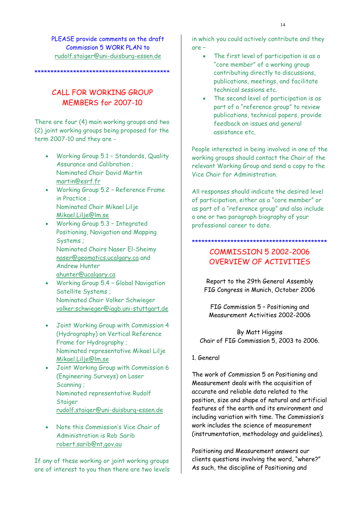PLEASE provide comments on the draft Commission 5 WORK PLAN to rudolf.staiger@uni-duisburg-essen.de

# CALL FOR WORKTNG GROUP MEMBERS for 2007-10

\*\*\*\*\*\*\*\*\*\*\*\*\*\*\*\*\*\*\*\*\*\*\*\*\*\*\*\*\*\*\*\*\*\*\*\*\*\*

There are four (4) main working groups and two (2) joint working groups being proposed for the term 2007-10 and they are -

- Working Group 5.1 Standards, Quality Assurance and Calibration ; Nominated Chair David Martin martin@esrf.fr
- Working Group 5.2 Reference Frame in Practice ; Nominated Chair Mikael Lilje Mikael.Lilje@lm.se
- Working Group 5.3 Integrated Positioning, Navigation and Mapping Systems ; Nominated Chairs Naser El-Sheimy naser@geomatics.ucalgary.ca and Andrew Hunter ahunter@ucalgary.ca
- Working Group 5.4 Global Navigation Satellite Systems ; Nominated Chair Volker Schwieger volker.schwieger@iagb.uni-stuttgart.de
- Joint Working Group with Commission 4 (Hydrography) on Vertical Reference Frame for Hydrography ; Nominated representative Mikael Lilje Mikael.Lilje@lm.se
- Joint Working Group with Commission 6 (Engineering Surveys) on Laser Scanning ; Nominated representative Rudolf **Staiger** rudolf.staiger@uni-duisburg-essen.de
- Note this Commission's Vice Chair of Administration is Rob Sarib robert.sarib@nt,gov.au

If any of these working or joint working groups are of interest to you then there are two levels

in which you could actively contribute and they are –

- The first level of participation is as a "core member" of a working group contributing directly to discussions, publications, meetings, and facilitate technical sessions etc.
- The second level of participation is as part of a "reference group" to review publications, technical papers, provide feedback on issues and general assistance etc.

People interested in being involved in one of the working groups should contact the Chair of the relevant Working Group and send a copy to the Vice Chair for Administration.

All responses should indicate the desired level of participation, either as a "core member" or as part of a "reference group" and also include a one or two paragraph biography of your professional career to date.

## \*\*\*\*\*\*\*\*\*\*\*\*\*\*\*\*\*\*\*\*\*\*\*\*\*\*\*\*\*\*\*\*\*\*\*\*\*\*\*\*\*\*

# COMMISSION 5 2002-2006 OVERVIEW OF ACTIVITIES

Report to the 29th General Assembly FIG Congress in Munich, October 2006

FIG Commission 5 – Positioning and Measurement Activities 2002-2006

By Matt Higgins Chair of FIG Commission 5, 2003 to 2006.

## 1. General

The work of Commission 5 on Positioning and Measurement deals with the acquisition of accurate and reliable data related to the position, size and shape of natural and artificial features of the earth and its environment and including variation with time. The Commission's work includes the science of measurement (instrumentation, methodology and guidelines).

Positioning and Measurement answers our clients questions involving the word, "where?" As such, the discipline of Positioning and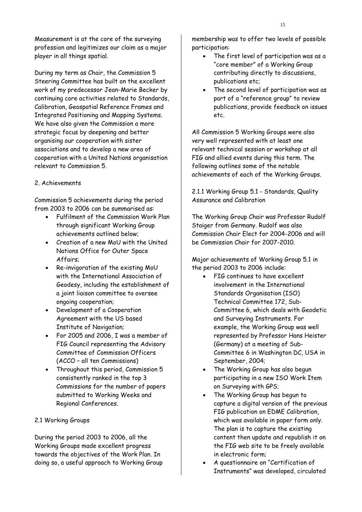Measurement is at the core of the surveying profession and legitimizes our claim as a major player in all things spatial.

During my term as Chair, the Commission 5 Steering Committee has built on the excellent work of my predecessor Jean-Marie Becker by continuing core activities related to Standards, Calibration, Geospatial Reference Frames and Integrated Positioning and Mapping Systems. We have also given the Commission a more strategic focus by deepening and better organising our cooperation with sister associations and to develop a new area of cooperation with a United Nations organisation relevant to Commission 5.

## 2. Achievements

Commission 5 achievements during the period from 2003 to 2006 can be summarised as:

- Fulfilment of the Commission Work Plan through significant Working Group achievements outlined below;
- Creation of a new MoU with the United Nations Office for Outer Space Affairs;
- Re-invigoration of the existing MoU with the International Association of Geodesy, including the establishment of a joint liaison committee to oversee ongoing cooperation;
- Development of a Cooperation Agreement with the US based Institute of Navigation;
- For 2005 and 2006, I was a member of FIG Council representing the Advisory Committee of Commission Officers (ACCO – all ten Commissions)
- Throughout this period, Commission 5 consistently ranked in the top 3 Commissions for the number of papers submitted to Working Weeks and Regional Conferences.

## 2.1 Working Groups

During the period 2003 to 2006, all the Working Groups made excellent progress towards the objectives of the Work Plan. In doing so, a useful approach to Working Group membership was to offer two levels of possible participation:

- The first level of participation was as a "core member" of a Working Group contributing directly to discussions, publications etc;
- The second level of participation was as part of a "reference group" to review publications, provide feedback on issues etc.

All Commission 5 Working Groups were also very well represented with at least one relevant technical session or workshop at all FIG and allied events during this term. The following outlines some of the notable achievements of each of the Working Groups.

2.1.1 Working Group 5.1 - Standards, Quality Assurance and Calibration

The Working Group Chair was Professor Rudolf Staiger from Germany. Rudolf was also Commission Chair Elect for 2004-2006 and will be Commission Chair for 2007-2010.

Major achievements of Working Group 5.1 in the period 2003 to 2006 include:

- FIG continues to have excellent involvement in the International Standards Organisation (ISO) Technical Committee 172, Sub-Committee 6, which deals with Geodetic and Surveying Instruments. For example, the Working Group was well represented by Professor Hans Heister (Germany) at a meeting of Sub-Committee 6 in Washington DC, USA in September, 2004;
- The Working Group has also begun participating in a new ISO Work Item on Surveying with GPS;
- The Working Group has begun to capture a digital version of the previous FIG publication on EDME Calibration, which was available in paper form only. The plan is to capture the existing content then update and republish it on the FIG web site to be freely available in electronic form;
- A questionnaire on "Certification of Instruments" was developed, circulated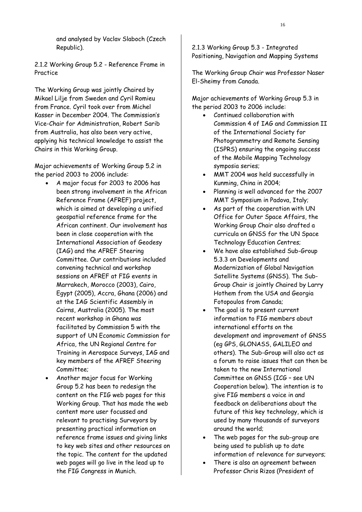and analysed by Vaclav Slaboch (Czech Republic).

2.1.2 Working Group 5.2 - Reference Frame in Practice

The Working Group was jointly Chaired by Mikael Lilje from Sweden and Cyril Romieu from France. Cyril took over from Michel Kasser in December 2004. The Commission's Vice-Chair for Administration, Robert Sarib from Australia, has also been very active, applying his technical knowledge to assist the Chairs in this Working Group.

Major achievements of Working Group 5.2 in the period 2003 to 2006 include:

- A major focus for 2003 to 2006 has been strong involvement in the African Reference Frame (AFREF) project, which is aimed at developing a unified geospatial reference frame for the African continent. Our involvement has been in close cooperation with the International Association of Geodesy (IAG) and the AFREF Steering Committee. Our contributions included convening technical and workshop sessions on AFREF at FIG events in Marrakech, Morocco (2003), Cairo, Egypt (2005), Accra, Ghana (2006) and at the IAG Scientific Assembly in Cairns, Australia (2005). The most recent workshop in Ghana was facilitated by Commission 5 with the support of UN Economic Commission for Africa, the UN Regional Centre for Training in Aerospace Surveys, IAG and key members of the AFREF Steering Committee;
- Another major focus for Working Group 5.2 has been to redesign the content on the FIG web pages for this Working Group. That has made the web content more user focussed and relevant to practising Surveyors by presenting practical information on reference frame issues and giving links to key web sites and other resources on the topic. The content for the updated web pages will go live in the lead up to the FIG Congress in Munich.

2.1.3 Working Group 5.3 - Integrated Positioning, Navigation and Mapping Systems

The Working Group Chair was Professor Naser El-Sheimy from Canada.

Major achievements of Working Group 5.3 in the period 2003 to 2006 include:

- Continued collaboration with Commission 4 of IAG and Commission II of the International Society for Photogrammetry and Remote Sensing (ISPRS) ensuring the ongoing success of the Mobile Mapping Technology symposia series;
- MMT 2004 was held successfully in Kunming, China in 2004;
- Planning is well advanced for the 2007 MMT Symposium in Padova, Italy;
- As part of the cooperation with UN Office for Outer Space Affairs, the Working Group Chair also drafted a curricula on GNSS for the UN Space Technology Education Centres;
- We have also established Sub-Group 5.3.3 on Developments and Modernization of Global Navigation Satellite Systems (GNSS). The Sub-Group Chair is jointly Chaired by Larry Hothem from the USA and Georgia Fotopoulos from Canada;
- The goal is to present current information to FIG members about international efforts on the development and improvement of GNSS (eg GPS, GLONASS, GALILEO and others). The Sub-Group will also act as a forum to raise issues that can then be taken to the new International Committee on GNSS (ICG – see UN Cooperation below). The intention is to give FIG members a voice in and feedback on deliberations about the future of this key technology, which is used by many thousands of surveyors around the world;
- The web pages for the sub-group are being used to publish up to date information of relevance for surveyors;
- There is also an agreement between Professor Chris Rizos (President of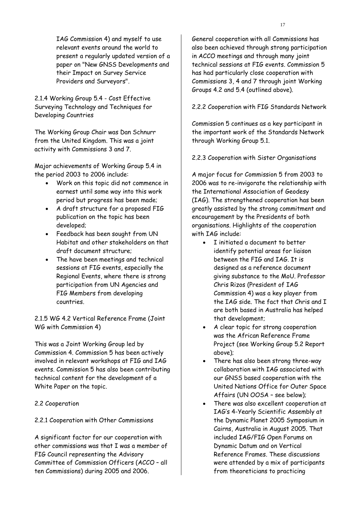IAG Commission 4) and myself to use relevant events around the world to present a regularly updated version of a paper on "New GNSS Developments and their Impact on Survey Service Providers and Surveyors".

2.1.4 Working Group 5.4 - Cost Effective Surveying Technology and Techniques for Developing Countries

The Working Group Chair was Dan Schnurr from the United Kingdom. This was a joint activity with Commissions 3 and 7.

Major achievements of Working Group 5.4 in the period 2003 to 2006 include:

- Work on this topic did not commence in earnest until some way into this work period but progress has been made;
- A draft structure for a proposed FIG publication on the topic has been developed;
- Feedback has been sought from UN Habitat and other stakeholders on that draft document structure;
- The have been meetings and technical sessions at FIG events, especially the Regional Events, where there is strong participation from UN Agencies and FIG Members from developing countries.

2.1.5 WG 4.2 Vertical Reference Frame (Joint WG with Commission 4)

This was a Joint Working Group led by Commission 4. Commission 5 has been actively involved in relevant workshops at FIG and IAG events. Commission 5 has also been contributing technical content for the development of a White Paper on the topic.

2.2 Cooperation

## 2.2.1 Cooperation with Other Commissions

A significant factor for our cooperation with other commissions was that I was a member of FIG Council representing the Advisory Committee of Commission Officers (ACCO – all ten Commissions) during 2005 and 2006.

General cooperation with all Commissions has also been achieved through strong participation in ACCO meetings and through many joint technical sessions at FIG events. Commission 5 has had particularly close cooperation with Commissions 3, 4 and 7 through joint Working Groups 4.2 and 5.4 (outlined above).

2.2.2 Cooperation with FIG Standards Network

Commission 5 continues as a key participant in the important work of the Standards Network through Working Group 5.1.

2.2.3 Cooperation with Sister Organisations

A major focus for Commission 5 from 2003 to 2006 was to re-invigorate the relationship with the International Association of Geodesy (IAG). The strengthened cooperation has been greatly assisted by the strong commitment and encouragement by the Presidents of both organisations. Highlights of the cooperation with IAG include:

- I initiated a document to better identify potential areas for liaison between the FIG and IAG. It is designed as a reference document giving substance to the MoU. Professor Chris Rizos (President of IAG Commission 4) was a key player from the IAG side. The fact that Chris and I are both based in Australia has helped that development;
- A clear topic for strong cooperation was the African Reference Frame Project (see Working Group 5.2 Report above);
- There has also been strong three-way collaboration with IAG associated with our GNSS based cooperation with the United Nations Office for Outer Space Affairs (UN OOSA – see below);
- There was also excellent cooperation at IAG's 4-Yearly Scientific Assembly at the Dynamic Planet 2005 Symposium in Cairns, Australia in August 2005. That included IAG/FIG Open Forums on Dynamic Datum and on Vertical Reference Frames. These discussions were attended by a mix of participants from theoreticians to practicing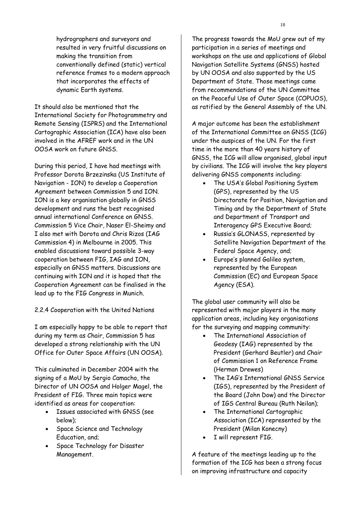hydrographers and surveyors and resulted in very fruitful discussions on making the transition from conventionally defined (static) vertical reference frames to a modern approach that incorporates the effects of dynamic Earth systems.

It should also be mentioned that the International Society for Photogrammetry and Remote Sensing (ISPRS) and the International Cartographic Association (ICA) have also been involved in the AFREF work and in the UN OOSA work on future GNSS.

During this period, I have had meetings with Professor Dorota Brzezinska (US Institute of Navigation - ION) to develop a Cooperation Agreement between Commission 5 and ION. ION is a key organisation globally in GNSS development and runs the best recognised annual international Conference on GNSS. Commission 5 Vice Chair, Naser El-Sheimy and I also met with Dorota and Chris Rizos (IAG Commission 4) in Melbourne in 2005. This enabled discussions toward possible 3-way cooperation between FIG, IAG and ION, especially on GNSS matters. Discussions are continuing with ION and it is hoped that the Cooperation Agreement can be finalised in the lead up to the FIG Congress in Munich.

2.2.4 Cooperation with the United Nations

I am especially happy to be able to report that during my term as Chair, Commission 5 has developed a strong relationship with the UN Office for Outer Space Affairs (UN OOSA).

This culminated in December 2004 with the signing of a MoU by Sergio Camacho, the Director of UN OOSA and Holger Magel, the President of FIG. Three main topics were identified as areas for cooperation:

- Issues associated with GNSS (see below);
- Space Science and Technology Education, and;
- Space Technology for Disaster Management.

The progress towards the MoU grew out of my participation in a series of meetings and workshops on the use and applications of Global Navigation Satellite Systems (GNSS) hosted by UN OOSA and also supported by the US Department of State. Those meetings came from recommendations of the UN Committee on the Peaceful Use of Outer Space (COPUOS), as ratified by the General Assembly of the UN.

A major outcome has been the establishment of the International Committee on GNSS (ICG) under the auspices of the UN. For the first time in the more than 40 years history of GNSS, the ICG will allow organised, global input by civilians. The ICG will involve the key players delivering GNSS components including:

- The USA's Global Positioning System (GPS), represented by the US Directorate for Position, Navigation and Timing and by the Department of State and Department of Transport and Interagency GPS Executive Board;
- Russia's GLONASS, represented by Satellite Navigation Department of the Federal Space Agency, and;
- Europe's planned Galileo system, represented by the European Commission (EC) and European Space Agency (ESA).

The global user community will also be represented with major players in the many application areas, including key organisations for the surveying and mapping community:

- The International Association of Geodesy (IAG) represented by the President (Gerhard Beutler) and Chair of Commission 1 on Reference Frame (Herman Drewes)
- The IAG's International GNSS Service (IGS), represented by the President of the Board (John Dow) and the Director of IGS Central Bureau (Ruth Neilan);
- The International Cartographic Association (ICA) represented by the President (Milan Konecny)
- I will represent FIG.

A feature of the meetings leading up to the formation of the ICG has been a strong focus on improving infrastructure and capacity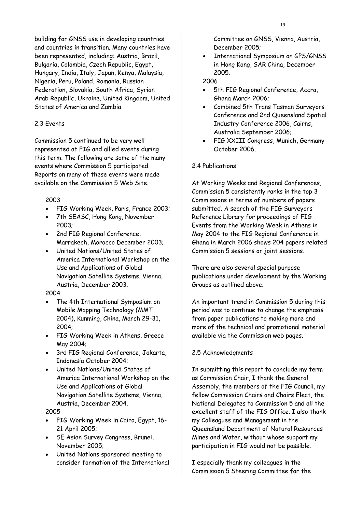building for GNSS use in developing countries and countries in transition. Many countries have been represented, including: Austria, Brazil, Bulgaria, Colombia, Czech Republic, Egypt, Hungary, India, Italy, Japan, Kenya, Malaysia, Nigeria, Peru, Poland, Romania, Russian Federation, Slovakia, South Africa, Syrian Arab Republic, Ukraine, United Kingdom, United States of America and Zambia.

## 2.3 Events

Commission 5 continued to be very well represented at FIG and allied events during this term. The following are some of the many events where Commission 5 participated. Reports on many of these events were made available on the Commission 5 Web Site.

#### 2003

- FIG Working Week, Paris, France 2003;
- 7th SEASC, Hong Kong, November 2003;
- 2nd FIG Regional Conference, Marrakech, Morocco December 2003;
- United Nations/United States of America International Workshop on the Use and Applications of Global Navigation Satellite Systems, Vienna, Austria, December 2003.

#### 2004

- The 4th International Symposium on Mobile Mapping Technology (MMT 2004), Kunming, China, March 29-31, 2004;
- FIG Working Week in Athens, Greece May 2004;
- 3rd FIG Regional Conference, Jakarta, Indonesia October 2004;
- United Nations/United States of America International Workshop on the Use and Applications of Global Navigation Satellite Systems, Vienna, Austria, December 2004.

#### 2005

- FIG Working Week in Cairo, Egypt, 16- 21 April 2005;
- SE Asian Survey Congress, Brunei, November 2005;
- United Nations sponsored meeting to consider formation of the International

Committee on GNSS, Vienna, Austria, December 2005;

• International Symposium on GPS/GNSS in Hong Kong, SAR China, December 2005.

#### 2006

- 5th FIG Regional Conference, Accra, Ghana March 2006;
- Combined 5th Trans Tasman Surveyors Conference and 2nd Queensland Spatial Industry Conference 2006, Cairns, Australia September 2006;
- FIG XXIII Congress, Munich, Germany October 2006.

#### 2.4 Publications

At Working Weeks and Regional Conferences, Commission 5 consistently ranks in the top 3 Commissions in terms of numbers of papers submitted. A search of the FIG Surveyors Reference Library for proceedings of FIG Events from the Working Week in Athens in May 2004 to the FIG Regional Conference in Ghana in March 2006 shows 204 papers related Commission 5 sessions or joint sessions.

There are also several special purpose publications under development by the Working Groups as outlined above.

An important trend in Commission 5 during this period was to continue to change the emphasis from paper publications to making more and more of the technical and promotional material available via the Commission web pages.

#### 2.5 Acknowledgments

In submitting this report to conclude my term as Commission Chair, I thank the General Assembly, the members of the FIG Council, my fellow Commission Chairs and Chairs Elect, the National Delegates to Commission 5 and all the excellent staff of the FIG Office. I also thank my Colleagues and Management in the Queensland Department of Natural Resources Mines and Water, without whose support my participation in FIG would not be possible.

I especially thank my colleagues in the Commission 5 Steering Committee for the